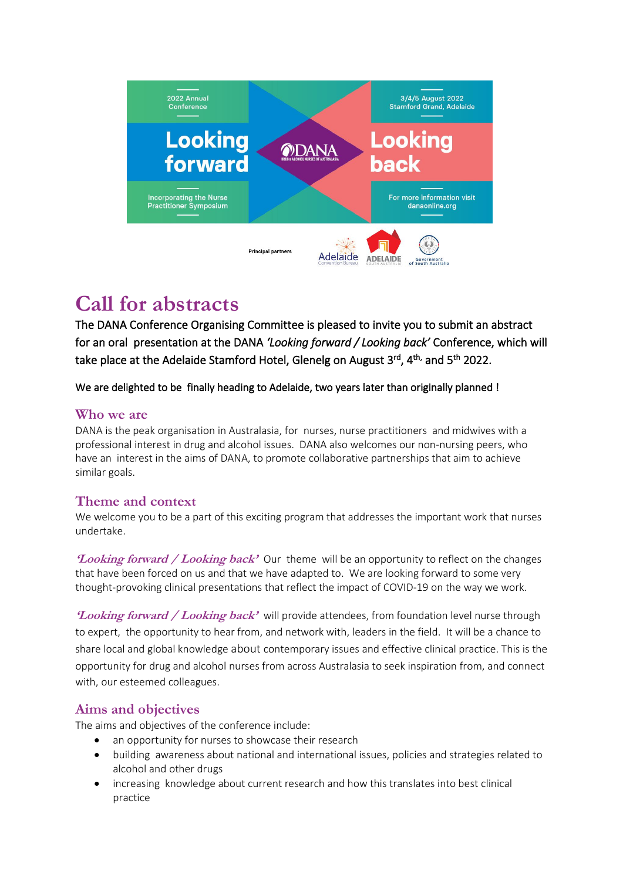

# **Call for abstracts**

The DANA Conference Organising Committee is pleased to invite you to submit an abstract for an oral presentation at the DANA *'Looking forward / Looking back'* Conference, which will take place at the Adelaide Stamford Hotel, Glenelg on August 3rd, 4<sup>th,</sup> and 5<sup>th</sup> 2022.

We are delighted to be finally heading to Adelaide, two years later than originally planned !

#### **Who we are**

DANA is the peak organisation in Australasia, for nurses, nurse practitioners and midwives with a professional interest in drug and alcohol issues. DANA also welcomes our non-nursing peers, who have an interest in the aims of DANA, to promote collaborative partnerships that aim to achieve similar goals.

#### **Theme and context**

We welcome you to be a part of this exciting program that addresses the important work that nurses undertake.

**'Looking forward / Looking back'** Our theme will be an opportunity to reflect on the changes that have been forced on us and that we have adapted to. We are looking forward to some very thought-provoking clinical presentations that reflect the impact of COVID-19 on the way we work.

**'Looking forward / Looking back'** will provide attendees, from foundation level nurse through to expert, the opportunity to hear from, and network with, leaders in the field. It will be a chance to share local and global knowledge about contemporary issues and effective clinical practice. This is the opportunity for drug and alcohol nurses from across Australasia to seek inspiration from, and connect with, our esteemed colleagues.

## **Aims and objectives**

The aims and objectives of the conference include:

- an opportunity for nurses to showcase their research
- building awareness about national and international issues, policies and strategies related to alcohol and other drugs
- increasing knowledge about current research and how this translates into best clinical practice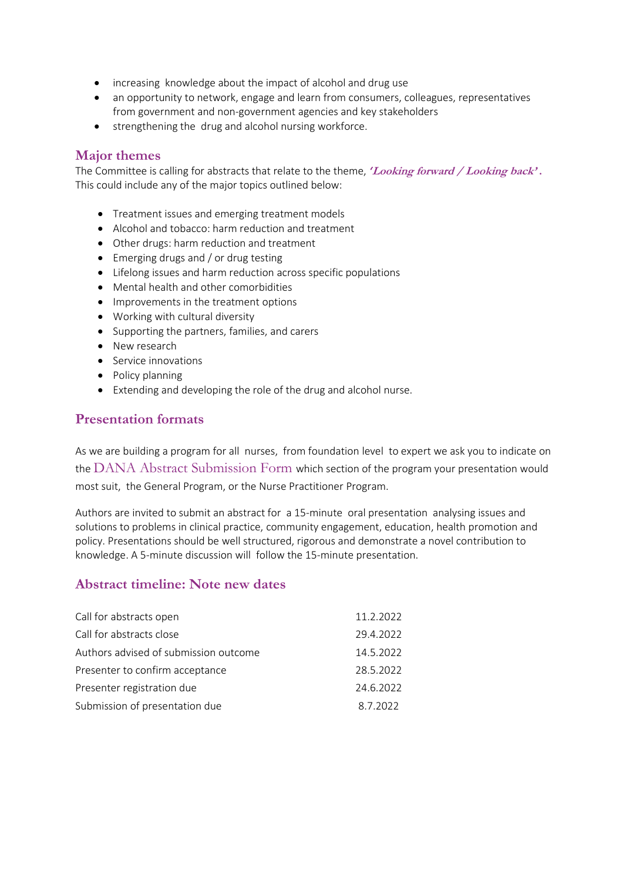- increasing knowledge about the impact of alcohol and drug use
- an opportunity to network, engage and learn from consumers, colleagues, representatives from government and non-government agencies and key stakeholders
- strengthening the drug and alcohol nursing workforce.

#### **Major themes**

The Committee is calling for abstracts that relate to the theme, *'***Looking forward / Looking back' .** This could include any of the major topics outlined below:

- Treatment issues and emerging treatment models
- Alcohol and tobacco: harm reduction and treatment
- Other drugs: harm reduction and treatment
- Emerging drugs and / or drug testing
- Lifelong issues and harm reduction across specific populations
- Mental health and other comorbidities
- Improvements in the treatment options
- Working with cultural diversity
- Supporting the partners, families, and carers
- New research
- Service innovations
- Policy planning
- Extending and developing the role of the drug and alcohol nurse.

#### **Presentation formats**

As we are building a program for all nurses, from foundation level to expert we ask you to indicate on the DANA Abstract Submission Form which section of the program your presentation would most suit, the General Program, or the Nurse Practitioner Program.

Authors are invited to submit an abstract for a 15-minute oral presentation analysing issues and solutions to problems in clinical practice, community engagement, education, health promotion and policy. Presentations should be well structured, rigorous and demonstrate a novel contribution to knowledge. A 5-minute discussion will follow the 15-minute presentation.

#### **Abstract timeline: Note new dates**

| Call for abstracts open               | 11.2.2022 |
|---------------------------------------|-----------|
| Call for abstracts close              | 29.4.2022 |
| Authors advised of submission outcome | 14.5.2022 |
| Presenter to confirm acceptance       | 28.5.2022 |
| Presenter registration due            | 24.6.2022 |
| Submission of presentation due        | 8.7.2022  |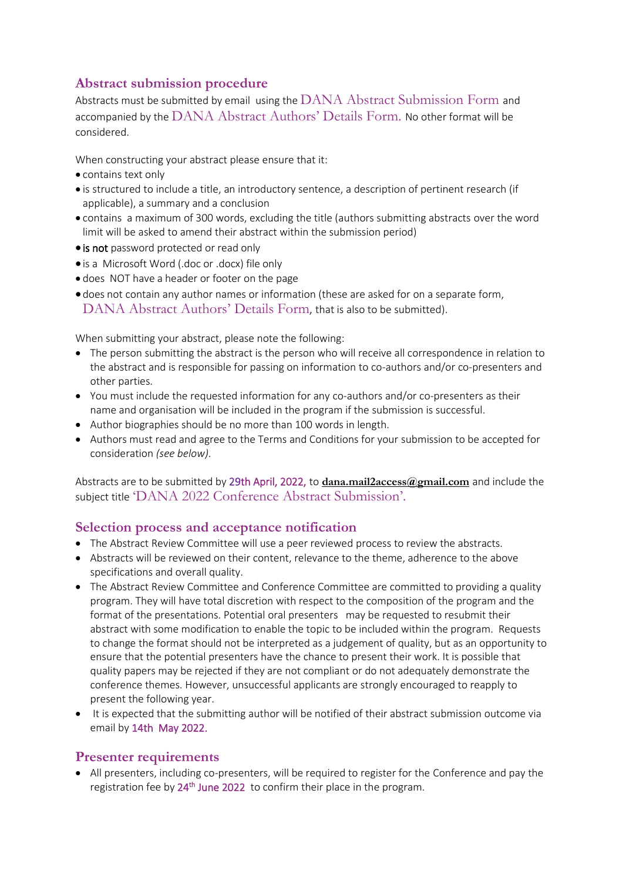# **Abstract submission procedure**

Abstracts must be submitted by email using the DANA Abstract Submission Form and accompanied by the DANA Abstract Authors' Details Form. No other format will be considered.

When constructing your abstract please ensure that it:

- contains text only
- is structured to include a title, an introductory sentence, a description of pertinent research (if applicable), a summary and a conclusion
- contains a maximum of 300 words, excluding the title (authors submitting abstracts over the word limit will be asked to amend their abstract within the submission period)
- is not password protected or read only
- is a Microsoft Word (.doc or .docx) file only
- does NOT have a header or footer on the page
- does not contain any author names or information (these are asked for on a separate form, DANA Abstract Authors' Details Form, that is also to be submitted).

When submitting your abstract, please note the following:

- The person submitting the abstract is the person who will receive all correspondence in relation to the abstract and is responsible for passing on information to co-authors and/or co-presenters and other parties.
- You must include the requested information for any co-authors and/or co-presenters as their name and organisation will be included in the program if the submission is successful.
- Author biographies should be no more than 100 words in length.
- Authors must read and agree to the Terms and Conditions for your submission to be accepted for consideration *(see below)*.

Abstracts are to be submitted by 29th April, 2022, to **[dana.mail2access@gmail.com](mailto:dana.mail2access@gmail.com)** and include the subject title 'DANA 2022 Conference Abstract Submission'.

## **Selection process and acceptance notification**

- The Abstract Review Committee will use a peer reviewed process to review the abstracts.
- Abstracts will be reviewed on their content, relevance to the theme, adherence to the above specifications and overall quality.
- The Abstract Review Committee and Conference Committee are committed to providing a quality program. They will have total discretion with respect to the composition of the program and the format of the presentations. Potential oral presenters may be requested to resubmit their abstract with some modification to enable the topic to be included within the program. Requests to change the format should not be interpreted as a judgement of quality, but as an opportunity to ensure that the potential presenters have the chance to present their work. It is possible that quality papers may be rejected if they are not compliant or do not adequately demonstrate the conference themes. However, unsuccessful applicants are strongly encouraged to reapply to present the following year.
- It is expected that the submitting author will be notified of their abstract submission outcome via email by 14th May 2022.

#### **Presenter requirements**

• All presenters, including co-presenters, will be required to register for the Conference and pay the registration fee by 24<sup>th</sup> June 2022 to confirm their place in the program.